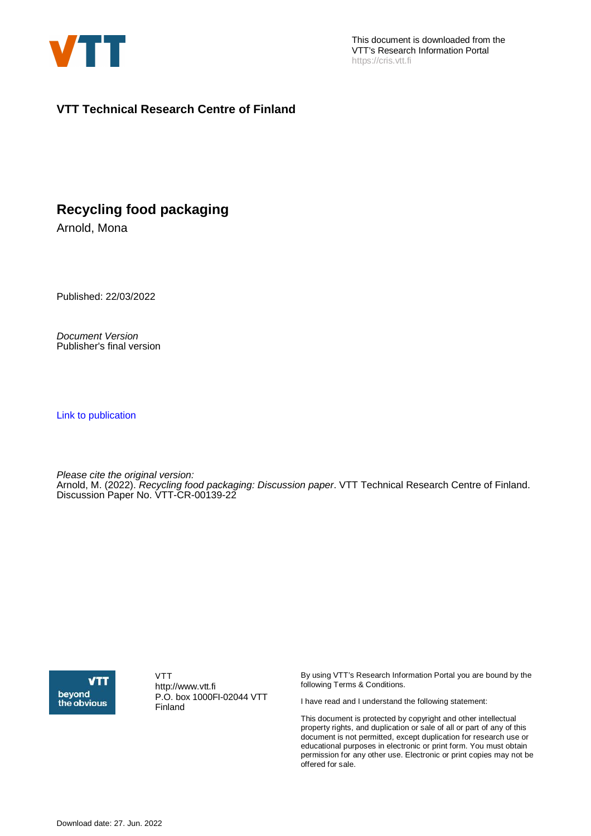

This document is downloaded from the VTT's Research Information Portal https://cris.vtt.fi

#### **VTT Technical Research Centre of Finland**

### **Recycling food packaging**

Arnold, Mona

Published: 22/03/2022

Document Version Publisher's final version

[Link to publication](https://cris.vtt.fi/en/publications/2d2771ec-0d39-4274-a526-21cacdc9ba03)

Please cite the original version: Arnold, M. (2022). Recycling food packaging: Discussion paper. VTT Technical Research Centre of Finland. Discussion Paper No. VTT-CR-00139-22



VTT http://www.vtt.fi P.O. box 1000FI-02044 VTT Finland

By using VTT's Research Information Portal you are bound by the following Terms & Conditions.

I have read and I understand the following statement:

This document is protected by copyright and other intellectual property rights, and duplication or sale of all or part of any of this document is not permitted, except duplication for research use or educational purposes in electronic or print form. You must obtain permission for any other use. Electronic or print copies may not be offered for sale.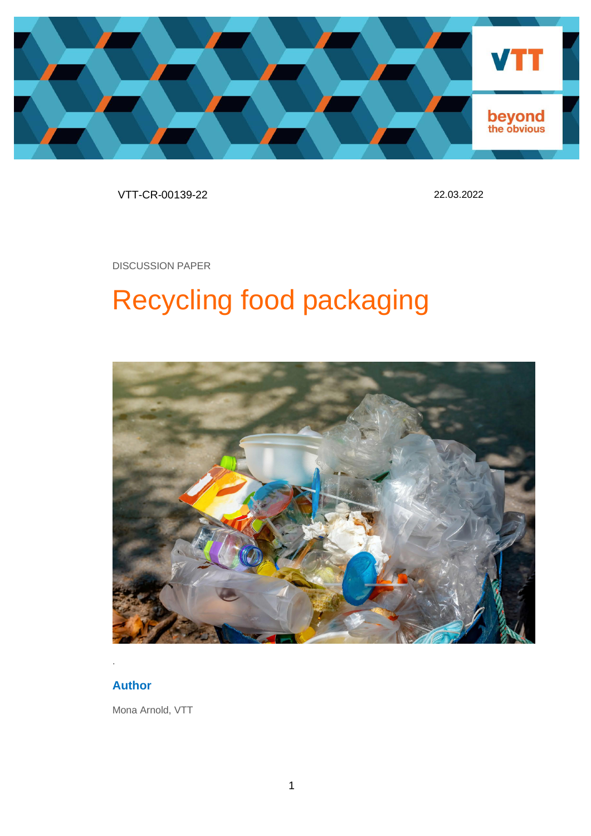

VTT-CR-00139-22 22.03.2022

DISCUSSION PAPER

# Recycling food packaging



### **Author**

Mona Arnold, VTT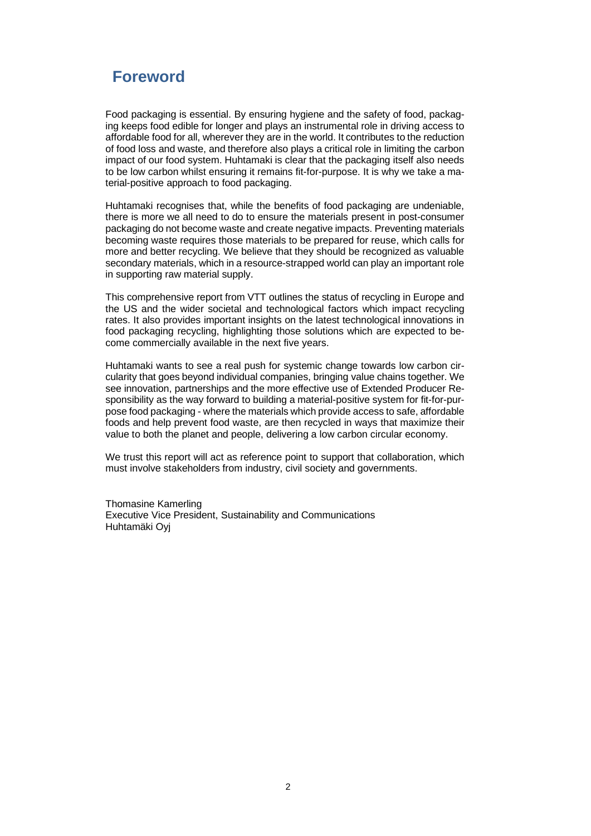### **Foreword**

Food packaging is essential. By ensuring hygiene and the safety of food, packaging keeps food edible for longer and plays an instrumental role in driving access to affordable food for all, wherever they are in the world. It contributes to the reduction of food loss and waste, and therefore also plays a critical role in limiting the carbon impact of our food system. Huhtamaki is clear that the packaging itself also needs to be low carbon whilst ensuring it remains fit-for-purpose. It is why we take a material-positive approach to food packaging.

Huhtamaki recognises that, while the benefits of food packaging are undeniable, there is more we all need to do to ensure the materials present in post-consumer packaging do not become waste and create negative impacts. Preventing materials becoming waste requires those materials to be prepared for reuse, which calls for more and better recycling. We believe that they should be recognized as valuable secondary materials, which in a resource-strapped world can play an important role in supporting raw material supply.

This comprehensive report from VTT outlines the status of recycling in Europe and the US and the wider societal and technological factors which impact recycling rates. It also provides important insights on the latest technological innovations in food packaging recycling, highlighting those solutions which are expected to become commercially available in the next five years.

Huhtamaki wants to see a real push for systemic change towards low carbon circularity that goes beyond individual companies, bringing value chains together. We see innovation, partnerships and the more effective use of Extended Producer Responsibility as the way forward to building a material-positive system for fit-for-purpose food packaging - where the materials which provide access to safe, affordable foods and help prevent food waste, are then recycled in ways that maximize their value to both the planet and people, delivering a low carbon circular economy.

We trust this report will act as reference point to support that collaboration, which must involve stakeholders from industry, civil society and governments.

Thomasine Kamerling Executive Vice President, Sustainability and Communications Huhtamäki Oyj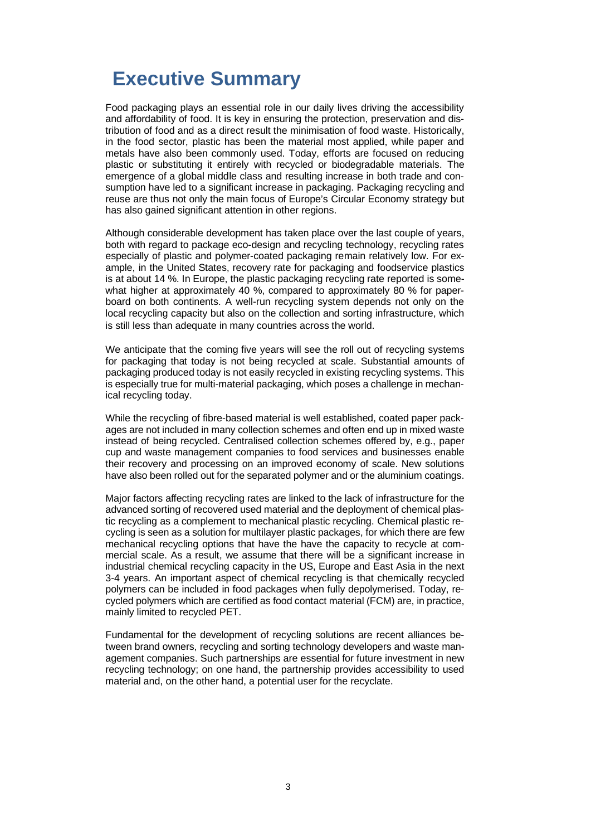# **Executive Summary**

Food packaging plays an essential role in our daily lives driving the accessibility and affordability of food. It is key in ensuring the protection, preservation and distribution of food and as a direct result the minimisation of food waste. Historically, in the food sector, plastic has been the material most applied, while paper and metals have also been commonly used. Today, efforts are focused on reducing plastic or substituting it entirely with recycled or biodegradable materials. The emergence of a global middle class and resulting increase in both trade and consumption have led to a significant increase in packaging. Packaging recycling and reuse are thus not only the main focus of Europe's Circular Economy strategy but has also gained significant attention in other regions.

Although considerable development has taken place over the last couple of years, both with regard to package eco-design and recycling technology, recycling rates especially of plastic and polymer-coated packaging remain relatively low. For example, in the United States, recovery rate for packaging and foodservice plastics is at about 14 %. In Europe, the plastic packaging recycling rate reported is somewhat higher at approximately 40 %, compared to approximately 80 % for paperboard on both continents. A well-run recycling system depends not only on the local recycling capacity but also on the collection and sorting infrastructure, which is still less than adequate in many countries across the world.

We anticipate that the coming five years will see the roll out of recycling systems for packaging that today is not being recycled at scale. Substantial amounts of packaging produced today is not easily recycled in existing recycling systems. This is especially true for multi-material packaging, which poses a challenge in mechanical recycling today.

While the recycling of fibre-based material is well established, coated paper packages are not included in many collection schemes and often end up in mixed waste instead of being recycled. Centralised collection schemes offered by, e.g., paper cup and waste management companies to food services and businesses enable their recovery and processing on an improved economy of scale. New solutions have also been rolled out for the separated polymer and or the aluminium coatings.

Major factors affecting recycling rates are linked to the lack of infrastructure for the advanced sorting of recovered used material and the deployment of chemical plastic recycling as a complement to mechanical plastic recycling. Chemical plastic recycling is seen as a solution for multilayer plastic packages, for which there are few mechanical recycling options that have the have the capacity to recycle at commercial scale. As a result, we assume that there will be a significant increase in industrial chemical recycling capacity in the US, Europe and East Asia in the next 3-4 years. An important aspect of chemical recycling is that chemically recycled polymers can be included in food packages when fully depolymerised. Today, recycled polymers which are certified as food contact material (FCM) are, in practice, mainly limited to recycled PET.

Fundamental for the development of recycling solutions are recent alliances between brand owners, recycling and sorting technology developers and waste management companies. Such partnerships are essential for future investment in new recycling technology; on one hand, the partnership provides accessibility to used material and, on the other hand, a potential user for the recyclate.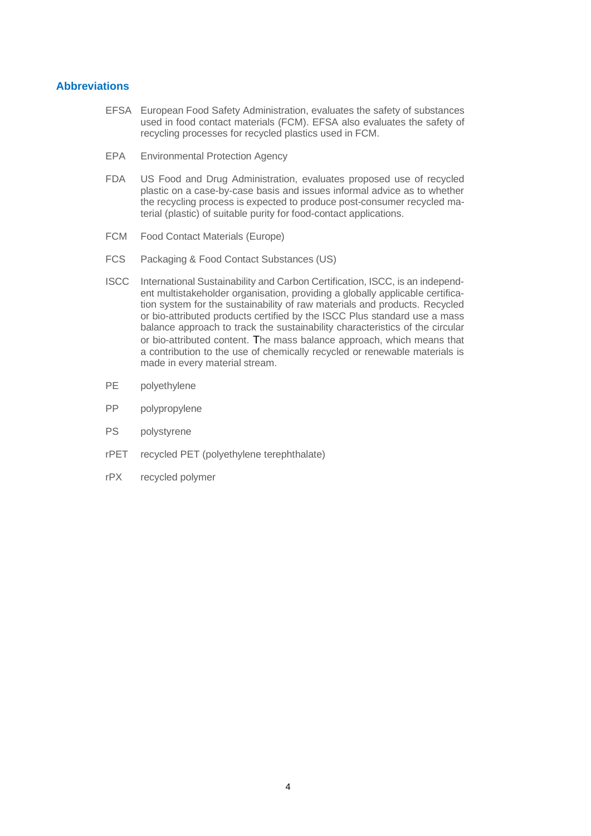#### **Abbreviations**

- EFSA European Food Safety Administration, evaluates the safety of substances used in food contact materials (FCM). EFSA also evaluates the safety of recycling processes for recycled plastics used in FCM.
- EPA Environmental Protection Agency
- FDA US Food and Drug Administration, evaluates proposed use of recycled plastic on a case-by-case basis and issues informal advice as to whether the recycling process is expected to produce post-consumer recycled material (plastic) of suitable purity for food-contact applications.
- FCM Food Contact Materials (Europe)
- FCS Packaging & Food Contact Substances (US)
- ISCC International Sustainability and Carbon Certification, ISCC, is an independent multistakeholder organisation, providing a globally applicable certification system for the sustainability of raw materials and products. Recycled or bio-attributed products certified by the ISCC Plus standard use a mass balance approach to track the sustainability characteristics of the circular or bio-attributed content. The mass balance approach, which means that a contribution to the use of chemically recycled or renewable materials is made in every material stream.
- PE polyethylene
- PP polypropylene
- PS polystyrene
- rPET recycled PET (polyethylene terephthalate)
- rPX recycled polymer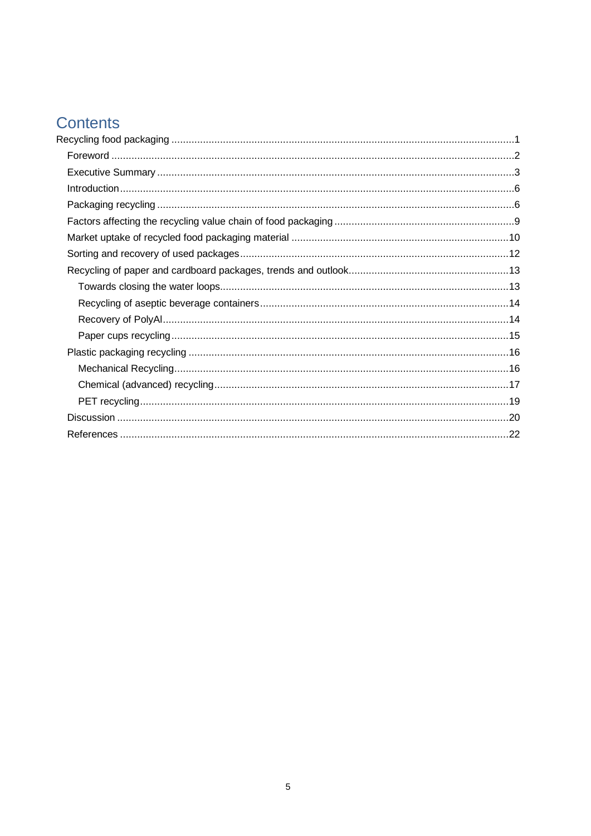### Contents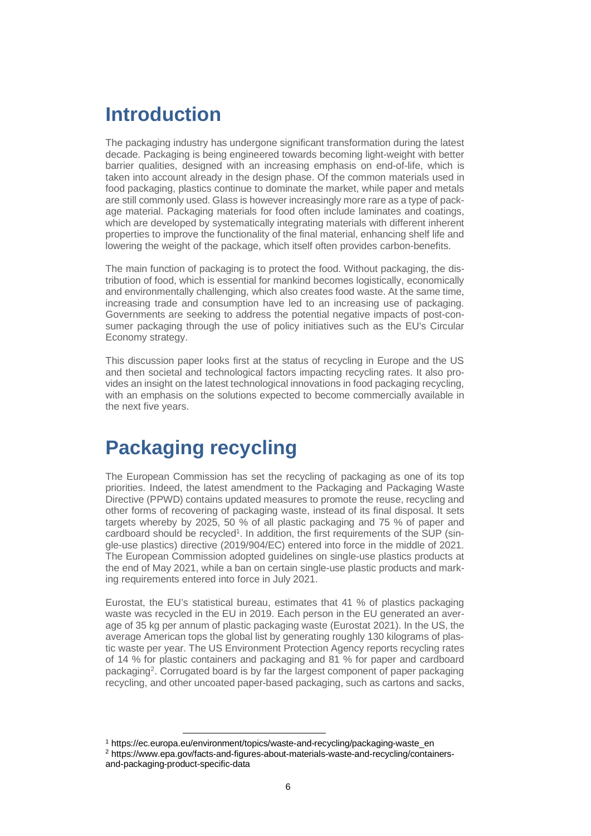### **Introduction**

The packaging industry has undergone significant transformation during the latest decade. Packaging is being engineered towards becoming light-weight with better barrier qualities, designed with an increasing emphasis on end-of-life, which is taken into account already in the design phase. Of the common materials used in food packaging, plastics continue to dominate the market, while paper and metals are still commonly used. Glass is however increasingly more rare as a type of package material. Packaging materials for food often include laminates and coatings, which are developed by systematically integrating materials with different inherent properties to improve the functionality of the final material, enhancing shelf life and lowering the weight of the package, which itself often provides carbon-benefits.

The main function of packaging is to protect the food. Without packaging, the distribution of food, which is essential for mankind becomes logistically, economically and environmentally challenging, which also creates food waste. At the same time, increasing trade and consumption have led to an increasing use of packaging. Governments are seeking to address the potential negative impacts of post-consumer packaging through the use of policy initiatives such as the EU's Circular Economy strategy.

This discussion paper looks first at the status of recycling in Europe and the US and then societal and technological factors impacting recycling rates. It also provides an insight on the latest technological innovations in food packaging recycling, with an emphasis on the solutions expected to become commercially available in the next five years.

### **Packaging recycling**

The European Commission has set the recycling of packaging as one of its top priorities. Indeed, the latest amendment to the Packaging and Packaging Waste Directive (PPWD) contains updated measures to promote the reuse, recycling and other forms of recovering of packaging waste, instead of its final disposal. It sets targets whereby by 2025, 50 % of all plastic packaging and 75 % of paper and cardboard should be recycled<sup>1</sup>. In addition, the first requirements of the SUP (single-use plastics) directive (2019/904/EC) entered into force in the middle of 2021. The European Commission adopted guidelines on single-use plastics products at the end of May 2021, while a ban on certain single-use plastic products and marking requirements entered into force in July 2021.

Eurostat, the EU's statistical bureau, estimates that 41 % of plastics packaging waste was recycled in the EU in 2019. Each person in the EU generated an average of 35 kg per annum of plastic packaging waste (Eurostat 2021). In the US, the average American tops the global list by generating roughly 130 kilograms of plastic waste per year. The US Environment Protection Agency reports recycling rates of 14 % for plastic containers and packaging and 81 % for paper and cardboard packaging<sup>2</sup>. Corrugated board is by far the largest component of paper packaging recycling, and other uncoated paper-based packaging, such as cartons and sacks,

<sup>&</sup>lt;sup>1</sup> https://ec.europa.eu/environment/topics/waste-and-recycling/packaging-waste\_en

<sup>2</sup> https://www.epa.gov/facts-and-figures-about-materials-waste-and-recycling/containersand-packaging-product-specific-data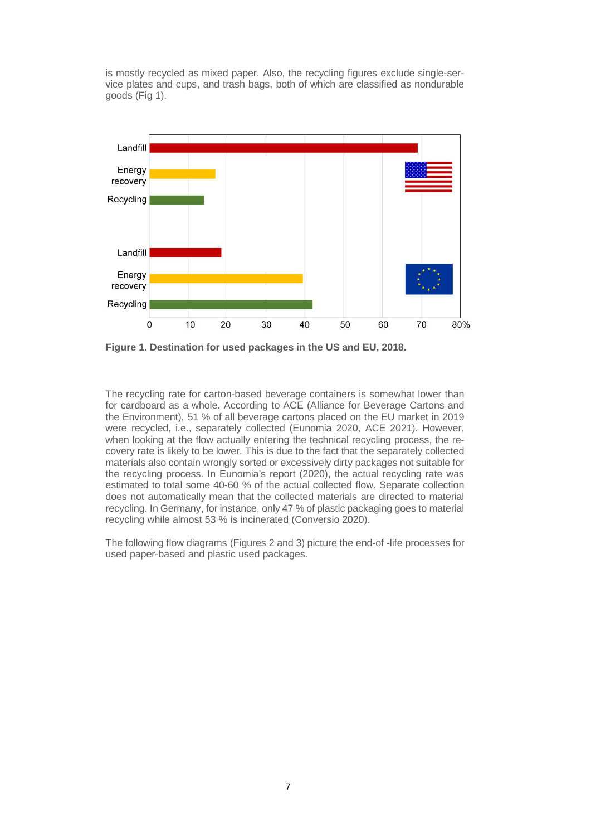is mostly recycled as mixed paper. Also, the recycling figures exclude single-service plates and cups, and trash bags, both of which are classified as nondurable goods (Fig 1).



**Figure 1. Destination for used packages in the US and EU, 2018.**

The recycling rate for carton-based beverage containers is somewhat lower than for cardboard as a whole. According to ACE (Alliance for Beverage Cartons and the Environment), 51 % of all beverage cartons placed on the EU market in 2019 were recycled, i.e., separately collected (Eunomia 2020, ACE 2021). However, when looking at the flow actually entering the technical recycling process, the recovery rate is likely to be lower. This is due to the fact that the separately collected materials also contain wrongly sorted or excessively dirty packages not suitable for the recycling process. In Eunomia's report (2020), the actual recycling rate was estimated to total some 40-60 % of the actual collected flow. Separate collection does not automatically mean that the collected materials are directed to material recycling. In Germany, for instance, only 47 % of plastic packaging goes to material recycling while almost 53 % is incinerated (Conversio 2020).

The following flow diagrams (Figures 2 and 3) picture the end-of -life processes for used paper-based and plastic used packages.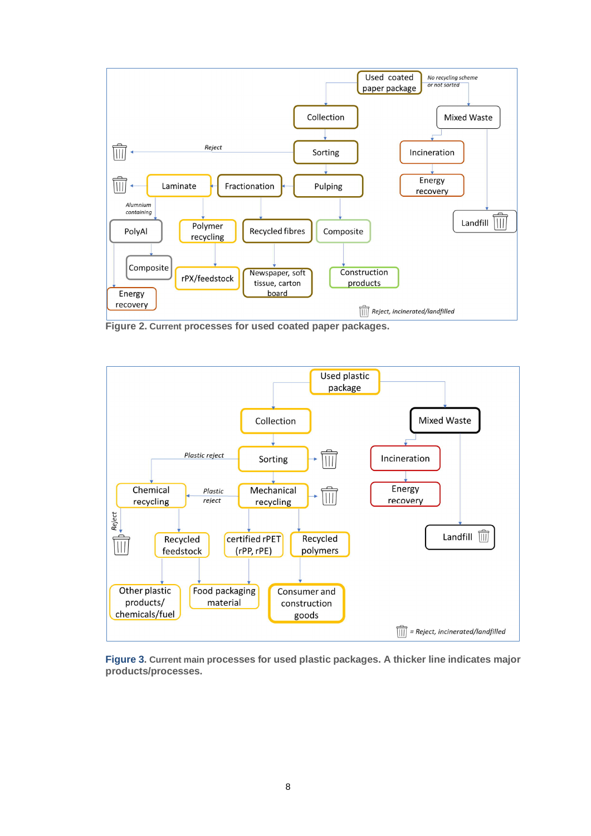

**Figure 2. Current processes for used coated paper packages.**



**Figure 3. Current main processes for used plastic packages. A thicker line indicates major products/processes.**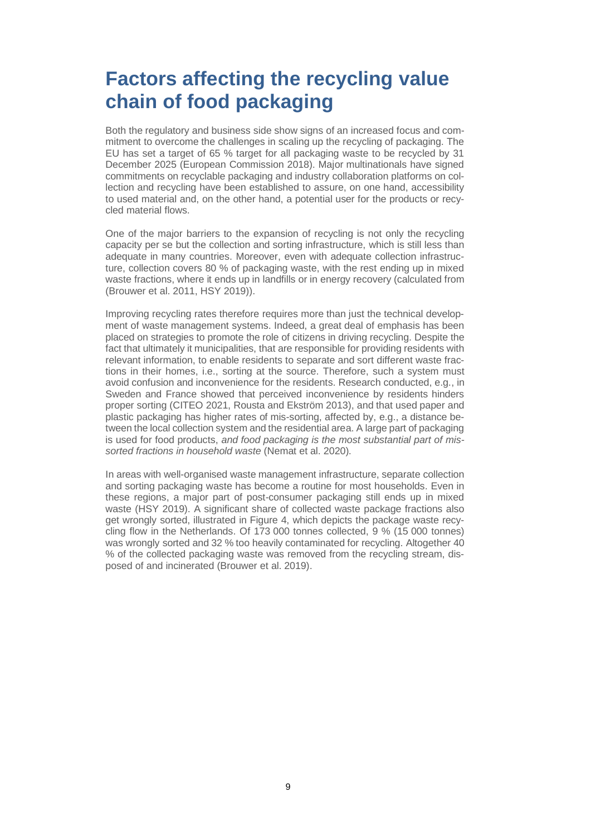# **Factors affecting the recycling value chain of food packaging**

Both the regulatory and business side show signs of an increased focus and commitment to overcome the challenges in scaling up the recycling of packaging. The EU has set a target of 65 % target for all packaging waste to be recycled by 31 December 2025 (European Commission 2018). Major multinationals have signed commitments on recyclable packaging and industry collaboration platforms on collection and recycling have been established to assure, on one hand, accessibility to used material and, on the other hand, a potential user for the products or recycled material flows.

One of the major barriers to the expansion of recycling is not only the recycling capacity per se but the collection and sorting infrastructure, which is still less than adequate in many countries. Moreover, even with adequate collection infrastructure, collection covers 80 % of packaging waste, with the rest ending up in mixed waste fractions, where it ends up in landfills or in energy recovery (calculated from (Brouwer et al. 2011, HSY 2019)).

Improving recycling rates therefore requires more than just the technical development of waste management systems. Indeed, a great deal of emphasis has been placed on strategies to promote the role of citizens in driving recycling. Despite the fact that ultimately it municipalities, that are responsible for providing residents with relevant information, to enable residents to separate and sort different waste fractions in their homes, i.e., sorting at the source. Therefore, such a system must avoid confusion and inconvenience for the residents. Research conducted, e.g., in Sweden and France showed that perceived inconvenience by residents hinders proper sorting (CITEO 2021, Rousta and Ekström 2013), and that used paper and plastic packaging has higher rates of mis-sorting, affected by, e.g., a distance between the local collection system and the residential area. A large part of packaging is used for food products, *and food packaging is the most substantial part of missorted fractions in household waste* (Nemat et al. 2020).

In areas with well-organised waste management infrastructure, separate collection and sorting packaging waste has become a routine for most households. Even in these regions, a major part of post-consumer packaging still ends up in mixed waste (HSY 2019). A significant share of collected waste package fractions also get wrongly sorted, illustrated in Figure 4, which depicts the package waste recycling flow in the Netherlands. Of 173 000 tonnes collected, 9 % (15 000 tonnes) was wrongly sorted and 32 % too heavily contaminated for recycling. Altogether 40 % of the collected packaging waste was removed from the recycling stream, disposed of and incinerated (Brouwer et al. 2019).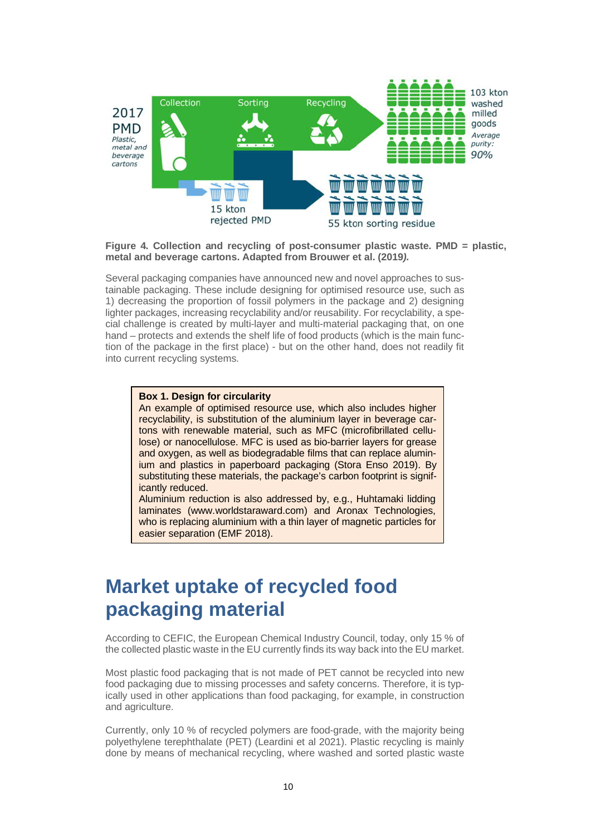

#### **Figure 4. Collection and recycling of post-consumer plastic waste. PMD = plastic, metal and beverage cartons. Adapted from Brouwer et al. (2019***).*

Several packaging companies have announced new and novel approaches to sustainable packaging. These include designing for optimised resource use, such as 1) decreasing the proportion of fossil polymers in the package and 2) designing lighter packages, increasing recyclability and/or reusability. For recyclability, a special challenge is created by multi-layer and multi-material packaging that, on one hand – protects and extends the shelf life of food products (which is the main function of the package in the first place) - but on the other hand, does not readily fit into current recycling systems.

#### **Box 1. Design for circularity**

An example of optimised resource use, which also includes higher recyclability, is substitution of the aluminium layer in beverage cartons with renewable material, such as MFC (microfibrillated cellulose) or nanocellulose. MFC is used as bio-barrier layers for grease and oxygen, as well as biodegradable films that can replace aluminium and plastics in paperboard packaging (Stora Enso 2019). By substituting these materials, the package's carbon footprint is significantly reduced.

Aluminium reduction is also addressed by, e.g., Huhtamaki lidding laminates (www.worldstaraward.com) and Aronax Technologies, who is replacing aluminium with a thin layer of magnetic particles for easier separation (EMF 2018).

### **Market uptake of recycled food packaging material**

According to CEFIC, the European Chemical Industry Council, today, only 15 % of the collected plastic waste in the EU currently finds its way back into the EU market.

Most plastic food packaging that is not made of PET cannot be recycled into new food packaging due to missing processes and safety concerns. Therefore, it is typically used in other applications than food packaging, for example, in construction and agriculture.

Currently, only 10 % of recycled polymers are food-grade, with the majority being polyethylene terephthalate (PET) (Leardini et al 2021). Plastic recycling is mainly done by means of mechanical recycling, where washed and sorted plastic waste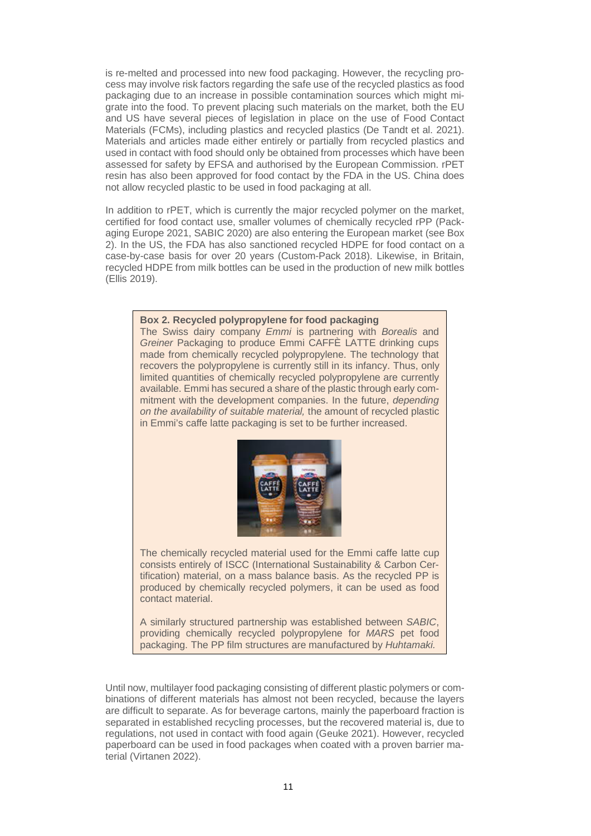is re-melted and processed into new food packaging. However, the recycling process may involve risk factors regarding the safe use of the recycled plastics as food packaging due to an increase in possible contamination sources which might migrate into the food. To prevent placing such materials on the market, both the EU and US have several pieces of legislation in place on the use of Food Contact Materials (FCMs), including plastics and recycled plastics (De Tandt et al. 2021). Materials and articles made either entirely or partially from recycled plastics and used in contact with food should only be obtained from processes which have been assessed for safety by EFSA and authorised by the European Commission. rPET resin has also been approved for food contact by the FDA in the US. China does not allow recycled plastic to be used in food packaging at all.

In addition to rPET, which is currently the major recycled polymer on the market, certified for food contact use, smaller volumes of chemically recycled rPP (Packaging Europe 2021, SABIC 2020) are also entering the European market (see Box 2). In the US, the FDA has also sanctioned recycled HDPE for food contact on a case-by-case basis for over 20 years (Custom-Pack 2018). Likewise, in Britain, recycled HDPE from milk bottles can be used in the production of new milk bottles (Ellis 2019).

#### **Box 2. Recycled polypropylene for food packaging**

The Swiss dairy company *Emmi* is partnering with *Borealis* and *Greiner* Packaging to produce Emmi CAFFÈ LATTE drinking cups made from chemically recycled polypropylene. The technology that recovers the polypropylene is currently still in its infancy. Thus, only limited quantities of chemically recycled polypropylene are currently available. Emmi has secured a share of the plastic through early commitment with the development companies. In the future, *depending on the availability of suitable material,* the amount of recycled plastic in Emmi's caffe latte packaging is set to be further increased.



The chemically recycled material used for the Emmi caffe latte cup consists entirely of ISCC (International Sustainability & Carbon Certification) material, on a mass balance basis. As the recycled PP is produced by chemically recycled polymers, it can be used as food contact material.

A similarly structured partnership was established between *SABIC*, providing chemically recycled polypropylene for *MARS* pet food packaging. The PP film structures are manufactured by *Huhtamaki.*

Until now, multilayer food packaging consisting of different plastic polymers or combinations of different materials has almost not been recycled, because the layers are difficult to separate. As for beverage cartons, mainly the paperboard fraction is separated in established recycling processes, but the recovered material is, due to regulations, not used in contact with food again (Geuke 2021). However, recycled paperboard can be used in food packages when coated with a proven barrier material (Virtanen 2022).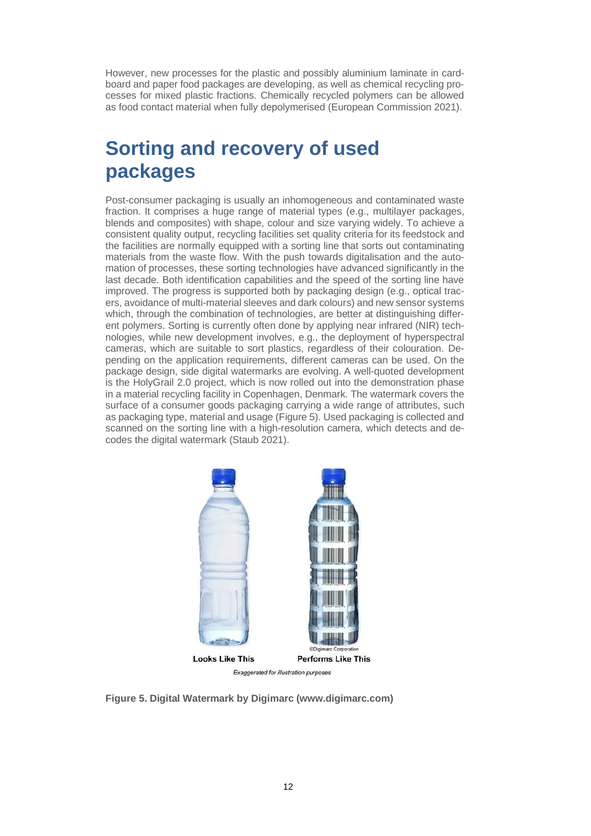However, new processes for the plastic and possibly aluminium laminate in cardboard and paper food packages are developing, as well as chemical recycling processes for mixed plastic fractions. Chemically recycled polymers can be allowed as food contact material when fully depolymerised (European Commission 2021).

# **Sorting and recovery of used packages**

Post-consumer packaging is usually an inhomogeneous and contaminated waste fraction. It comprises a huge range of material types (e.g., multilayer packages, blends and composites) with shape, colour and size varying widely. To achieve a consistent quality output, recycling facilities set quality criteria for its feedstock and the facilities are normally equipped with a sorting line that sorts out contaminating materials from the waste flow. With the push towards digitalisation and the automation of processes, these sorting technologies have advanced significantly in the last decade. Both identification capabilities and the speed of the sorting line have improved. The progress is supported both by packaging design (e.g., optical tracers, avoidance of multi-material sleeves and dark colours) and new sensor systems which, through the combination of technologies, are better at distinguishing different polymers. Sorting is currently often done by applying near infrared (NIR) technologies, while new development involves, e.g., the deployment of hyperspectral cameras, which are suitable to sort plastics, regardless of their colouration. Depending on the application requirements, different cameras can be used. On the package design, side digital watermarks are evolving. A well-quoted development is the HolyGrail 2.0 project, which is now rolled out into the demonstration phase in a material recycling facility in Copenhagen, Denmark. The watermark covers the surface of a consumer goods packaging carrying a wide range of attributes, such as packaging type, material and usage (Figure 5). Used packaging is collected and scanned on the sorting line with a high-resolution camera, which detects and decodes the digital watermark (Staub 2021).



Exaggerated for illustration purposes

**Figure 5. Digital Watermark by Digimarc (www.digimarc.com)**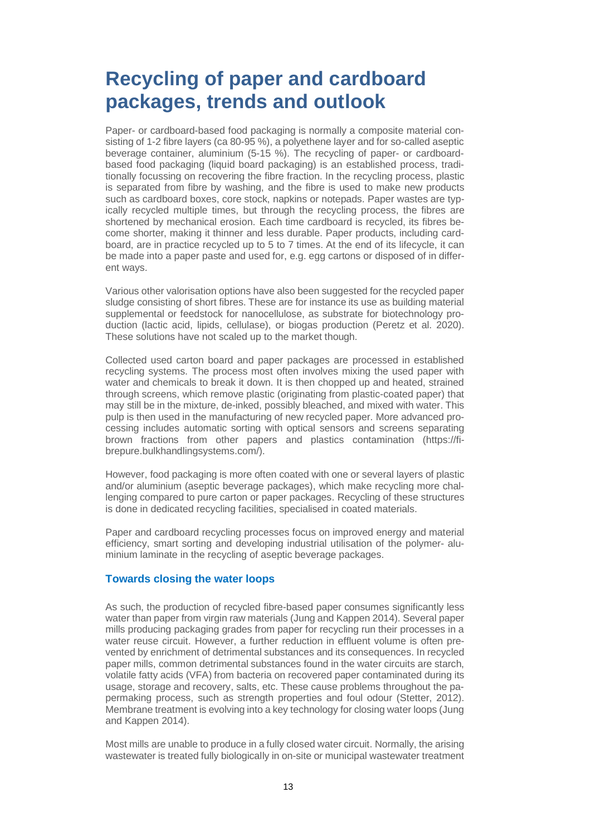## **Recycling of paper and cardboard packages, trends and outlook**

Paper- or cardboard-based food packaging is normally a composite material consisting of 1-2 fibre layers (ca 80-95 %), a polyethene layer and for so-called aseptic beverage container, aluminium (5-15 %). The recycling of paper- or cardboardbased food packaging (liquid board packaging) is an established process, traditionally focussing on recovering the fibre fraction. In the recycling process, plastic is separated from fibre by washing, and the fibre is used to make new products such as cardboard boxes, core stock, napkins or notepads. Paper wastes are typically recycled multiple times, but through the recycling process, the fibres are shortened by mechanical erosion. Each time cardboard is recycled, its fibres become shorter, making it thinner and less durable. Paper products, including cardboard, are in practice recycled up to 5 to 7 times. At the end of its lifecycle, it can be made into a paper paste and used for, e.g. egg cartons or disposed of in different ways.

Various other valorisation options have also been suggested for the recycled paper sludge consisting of short fibres. These are for instance its use as building material supplemental or feedstock for nanocellulose, as substrate for biotechnology production (lactic acid, lipids, cellulase), or biogas production (Peretz et al. 2020). These solutions have not scaled up to the market though.

Collected used carton board and paper packages are processed in established recycling systems. The process most often involves mixing the used paper with water and chemicals to break it down. It is then chopped up and heated, strained through screens, which remove plastic (originating from plastic-coated paper) that may still be in the mixture, de-inked, possibly bleached, and mixed with water. This pulp is then used in the manufacturing of new recycled paper. More advanced processing includes automatic sorting with optical sensors and screens separating brown fractions from other papers and plastics contamination (https://fibrepure.bulkhandlingsystems.com/).

However, food packaging is more often coated with one or several layers of plastic and/or aluminium (aseptic beverage packages), which make recycling more challenging compared to pure carton or paper packages. Recycling of these structures is done in dedicated recycling facilities, specialised in coated materials.

Paper and cardboard recycling processes focus on improved energy and material efficiency, smart sorting and developing industrial utilisation of the polymer- aluminium laminate in the recycling of aseptic beverage packages.

#### **Towards closing the water loops**

As such, the production of recycled fibre-based paper consumes significantly less water than paper from virgin raw materials (Jung and Kappen 2014). Several paper mills producing packaging grades from paper for recycling run their processes in a water reuse circuit. However, a further reduction in effluent volume is often prevented by enrichment of detrimental substances and its consequences. In recycled paper mills, common detrimental substances found in the water circuits are starch, volatile fatty acids (VFA) from bacteria on recovered paper contaminated during its usage, storage and recovery, salts, etc. These cause problems throughout the papermaking process, such as strength properties and foul odour (Stetter, 2012). Membrane treatment is evolving into a key technology for closing water loops (Jung and Kappen 2014).

Most mills are unable to produce in a fully closed water circuit. Normally, the arising wastewater is treated fully biologically in on-site or municipal wastewater treatment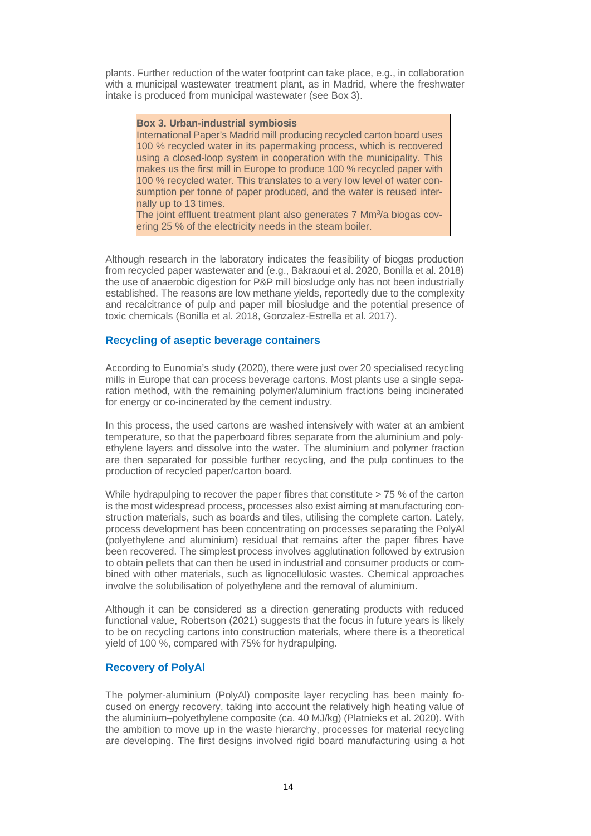plants. Further reduction of the water footprint can take place, e.g., in collaboration with a municipal wastewater treatment plant, as in Madrid, where the freshwater intake is produced from municipal wastewater (see Box 3).

#### **Box 3. Urban-industrial symbiosis**

International Paper's Madrid mill producing recycled carton board uses 100 % recycled water in its papermaking process, which is recovered using a closed-loop system in cooperation with the municipality. This makes us the first mill in Europe to produce 100 % recycled paper with 100 % recycled water. This translates to a very low level of water consumption per tonne of paper produced, and the water is reused internally up to 13 times.

The joint effluent treatment plant also generates 7 Mm<sup>3</sup>/a biogas covering 25 % of the electricity needs in the steam boiler.

Although research in the laboratory indicates the feasibility of biogas production from recycled paper wastewater and (e.g., Bakraoui et al. 2020, Bonilla et al. 2018) the use of anaerobic digestion for P&P mill biosludge only has not been industrially established. The reasons are low methane yields, reportedly due to the complexity and recalcitrance of pulp and paper mill biosludge and the potential presence of toxic chemicals (Bonilla et al. 2018, Gonzalez-Estrella et al. 2017).

#### **Recycling of aseptic beverage containers**

According to Eunomia's study (2020), there were just over 20 specialised recycling mills in Europe that can process beverage cartons. Most plants use a single separation method, with the remaining polymer/aluminium fractions being incinerated for energy or co-incinerated by the cement industry.

In this process, the used cartons are washed intensively with water at an ambient temperature, so that the paperboard fibres separate from the aluminium and polyethylene layers and dissolve into the water. The aluminium and polymer fraction are then separated for possible further recycling, and the pulp continues to the production of recycled paper/carton board.

While hydrapulping to recover the paper fibres that constitute  $> 75$  % of the carton is the most widespread process, processes also exist aiming at manufacturing construction materials, such as boards and tiles, utilising the complete carton. Lately, process development has been concentrating on processes separating the PolyAl (polyethylene and aluminium) residual that remains after the paper fibres have been recovered. The simplest process involves agglutination followed by extrusion to obtain pellets that can then be used in industrial and consumer products or combined with other materials, such as lignocellulosic wastes. Chemical approaches involve the solubilisation of polyethylene and the removal of aluminium.

Although it can be considered as a direction generating products with reduced functional value, Robertson (2021) suggests that the focus in future years is likely to be on recycling cartons into construction materials, where there is a theoretical yield of 100 %, compared with 75% for hydrapulping.

#### **Recovery of PolyAl**

The polymer-aluminium (PolyAl) composite layer recycling has been mainly focused on energy recovery, taking into account the relatively high heating value of the aluminium–polyethylene composite (ca. 40 MJ/kg) (Platnieks et al. 2020). With the ambition to move up in the waste hierarchy, processes for material recycling are developing. The first designs involved rigid board manufacturing using a hot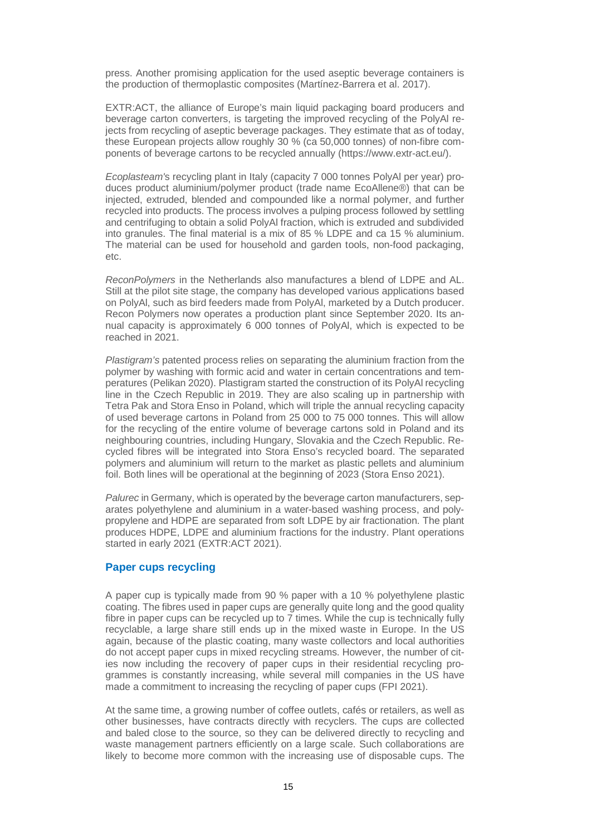press. Another promising application for the used aseptic beverage containers is the production of thermoplastic composites (Martínez-Barrera et al. 2017).

EXTR:ACT, the alliance of Europe's main liquid packaging board producers and beverage carton converters, is targeting the improved recycling of the PolyAl rejects from recycling of aseptic beverage packages. They estimate that as of today, these European projects allow roughly 30 % (ca 50,000 tonnes) of non-fibre components of beverage cartons to be recycled annually (https://www.extr-act.eu/).

*Ecoplasteam'*s recycling plant in Italy (capacity 7 000 tonnes PolyAl per year) produces product aluminium/polymer product (trade name EcoAllene®) that can be injected, extruded, blended and compounded like a normal polymer, and further recycled into products. The process involves a pulping process followed by settling and centrifuging to obtain a solid PolyAl fraction, which is extruded and subdivided into granules. The final material is a mix of 85 % LDPE and ca 15 % aluminium. The material can be used for household and garden tools, non-food packaging, etc.

*ReconPolymers* in the Netherlands also manufactures a blend of LDPE and AL. Still at the pilot site stage, the company has developed various applications based on PolyAl, such as bird feeders made from PolyAl, marketed by a Dutch producer. Recon Polymers now operates a production plant since September 2020. Its annual capacity is approximately 6 000 tonnes of PolyAl, which is expected to be reached in 2021.

*Plastigram's* patented process relies on separating the aluminium fraction from the polymer by washing with formic acid and water in certain concentrations and temperatures (Pelikan 2020). Plastigram started the construction of its PolyAl recycling line in the Czech Republic in 2019. They are also scaling up in partnership with Tetra Pak and Stora Enso in Poland, which will triple the annual recycling capacity of used beverage cartons in Poland from 25 000 to 75 000 tonnes. This will allow for the recycling of the entire volume of beverage cartons sold in Poland and its neighbouring countries, including Hungary, Slovakia and the Czech Republic. Recycled fibres will be integrated into Stora Enso's recycled board. The separated polymers and aluminium will return to the market as plastic pellets and aluminium foil. Both lines will be operational at the beginning of 2023 (Stora Enso 2021).

*Palurec* in Germany, which is operated by the beverage carton manufacturers, separates polyethylene and aluminium in a water-based washing process, and polypropylene and HDPE are separated from soft LDPE by air fractionation. The plant produces HDPE, LDPE and aluminium fractions for the industry. Plant operations started in early 2021 (EXTR:ACT 2021).

#### **Paper cups recycling**

A paper cup is typically made from 90 % paper with a 10 % polyethylene plastic coating. The fibres used in paper cups are generally quite long and the good quality fibre in paper cups can be recycled up to 7 times. While the cup is technically fully recyclable, a large share still ends up in the mixed waste in Europe. In the US again, because of the plastic coating, many waste collectors and local authorities do not accept paper cups in mixed recycling streams. However, the number of cities now including the recovery of paper cups in their residential recycling programmes is constantly increasing, while several mill companies in the US have made a commitment to increasing the recycling of paper cups (FPI 2021).

At the same time, a growing number of coffee outlets, cafés or retailers, as well as other businesses, have contracts directly with recyclers. The cups are collected and baled close to the source, so they can be delivered directly to recycling and waste management partners efficiently on a large scale. Such collaborations are likely to become more common with the increasing use of disposable cups. The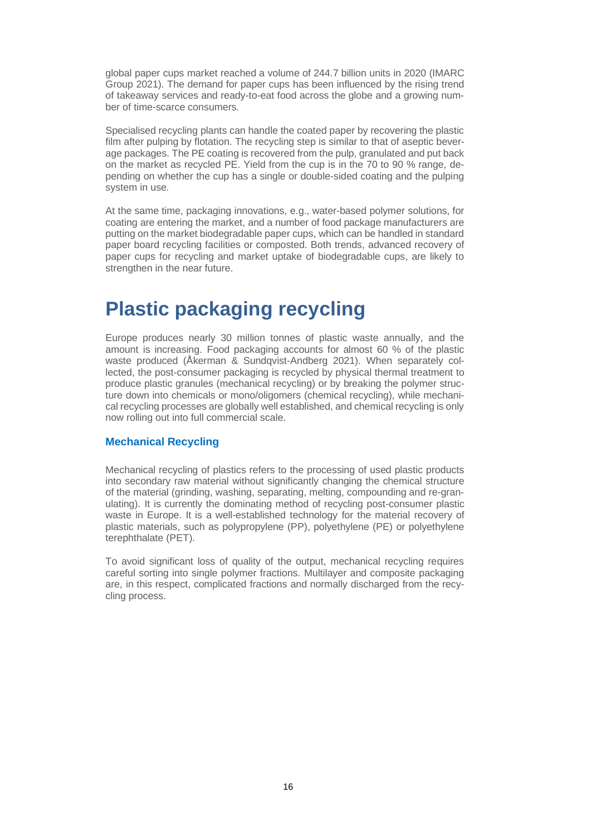global paper cups market reached a volume of 244.7 billion units in 2020 (IMARC Group 2021). The demand for paper cups has been influenced by the rising trend of takeaway services and ready-to-eat food across the globe and a growing number of time-scarce consumers.

Specialised recycling plants can handle the coated paper by recovering the plastic film after pulping by flotation. The recycling step is similar to that of aseptic beverage packages. The PE coating is recovered from the pulp, granulated and put back on the market as recycled PE. Yield from the cup is in the 70 to 90 % range, depending on whether the cup has a single or double-sided coating and the pulping system in use.

At the same time, packaging innovations, e.g., water-based polymer solutions, for coating are entering the market, and a number of food package manufacturers are putting on the market biodegradable paper cups, which can be handled in standard paper board recycling facilities or composted. Both trends, advanced recovery of paper cups for recycling and market uptake of biodegradable cups, are likely to strengthen in the near future.

### **Plastic packaging recycling**

Europe produces nearly 30 million tonnes of plastic waste annually, and the amount is increasing. Food packaging accounts for almost 60 % of the plastic waste produced (Åkerman & Sundqvist-Andberg 2021). When separately collected, the post-consumer packaging is recycled by physical thermal treatment to produce plastic granules (mechanical recycling) or by breaking the polymer structure down into chemicals or mono/oligomers (chemical recycling), while mechanical recycling processes are globally well established, and chemical recycling is only now rolling out into full commercial scale.

#### **Mechanical Recycling**

Mechanical recycling of plastics refers to the processing of used plastic products into secondary raw material without significantly changing the chemical structure of the material (grinding, washing, separating, melting, compounding and re-granulating). It is currently the dominating method of recycling post-consumer plastic waste in Europe. It is a well-established technology for the material recovery of plastic materials, such as polypropylene (PP), polyethylene (PE) or polyethylene terephthalate (PET).

To avoid significant loss of quality of the output, mechanical recycling requires careful sorting into single polymer fractions. Multilayer and composite packaging are, in this respect, complicated fractions and normally discharged from the recycling process.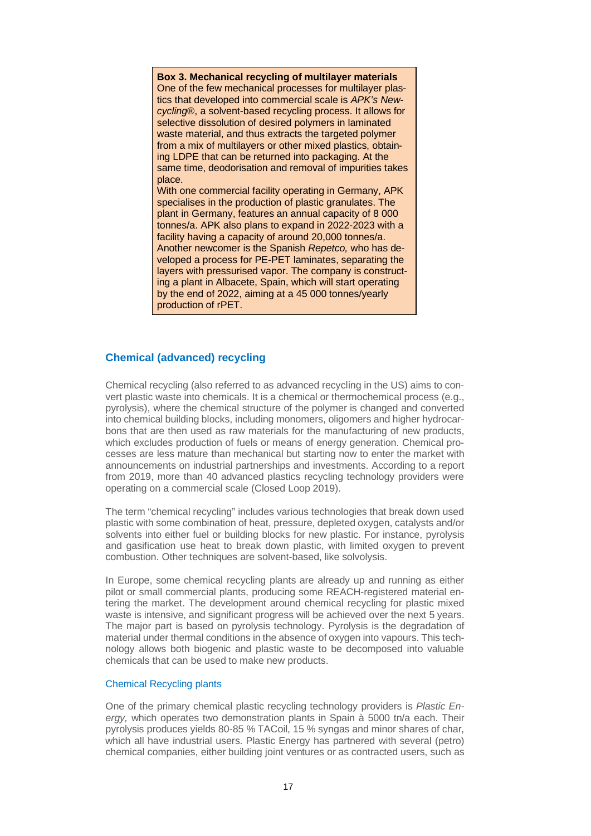**Box 3. Mechanical recycling of multilayer materials** One of the few mechanical processes for multilayer plastics that developed into commercial scale is *APK's Newcycling*®, a solvent-based recycling process. It allows for selective dissolution of desired polymers in laminated waste material, and thus extracts the targeted polymer from a mix of multilayers or other mixed plastics, obtaining LDPE that can be returned into packaging. At the same time, deodorisation and removal of impurities takes place.

With one commercial facility operating in Germany, APK specialises in the production of plastic granulates. The plant in Germany, features an annual capacity of 8 000 tonnes/a. APK also plans to expand in 2022-2023 with a facility having a capacity of around 20,000 tonnes/a. Another newcomer is the Spanish *Repetco,* who has developed a process for PE-PET laminates, separating the layers with pressurised vapor. The company is constructing a plant in Albacete, Spain, which will start operating by the end of 2022, aiming at a 45 000 tonnes/yearly production of rPET.

#### **Chemical (advanced) recycling**

Chemical recycling (also referred to as advanced recycling in the US) aims to convert plastic waste into chemicals. It is a chemical or thermochemical process (e.g., pyrolysis), where the chemical structure of the polymer is changed and converted into chemical building blocks, including monomers, oligomers and higher hydrocarbons that are then used as raw materials for the manufacturing of new products, which excludes production of fuels or means of energy generation. Chemical processes are less mature than mechanical but starting now to enter the market with announcements on industrial partnerships and investments. According to a report from 2019, more than 40 advanced plastics recycling technology providers were operating on a commercial scale (Closed Loop 2019).

The term "chemical recycling" includes various technologies that break down used plastic with some combination of heat, pressure, depleted oxygen, catalysts and/or solvents into either fuel or building blocks for new plastic. For instance, pyrolysis and gasification use heat to break down plastic, with limited oxygen to prevent combustion. Other techniques are solvent-based, like solvolysis.

In Europe, some chemical recycling plants are already up and running as either pilot or small commercial plants, producing some REACH-registered material entering the market. The development around chemical recycling for plastic mixed waste is intensive, and significant progress will be achieved over the next 5 years. The major part is based on pyrolysis technology. Pyrolysis is the degradation of material under thermal conditions in the absence of oxygen into vapours. This technology allows both biogenic and plastic waste to be decomposed into valuable chemicals that can be used to make new products.

#### Chemical Recycling plants

One of the primary chemical plastic recycling technology providers is *Plastic Energy,* which operates two demonstration plants in Spain à 5000 tn/a each. Their pyrolysis produces yields 80-85 % TACoil, 15 % syngas and minor shares of char, which all have industrial users. Plastic Energy has partnered with several (petro) chemical companies, either building joint ventures or as contracted users, such as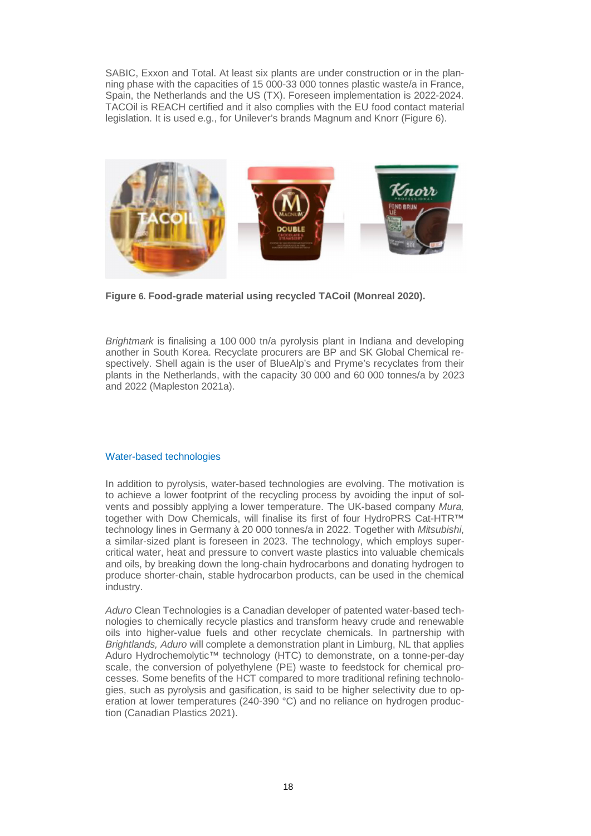SABIC, Exxon and Total. At least six plants are under construction or in the planning phase with the capacities of 15 000-33 000 tonnes plastic waste/a in France, Spain, the Netherlands and the US (TX). Foreseen implementation is 2022-2024. TACOil is REACH certified and it also complies with the EU food contact material legislation. It is used e.g., for Unilever's brands Magnum and Knorr (Figure 6).



**Figure 6. Food-grade material using recycled TACoil (Monreal 2020).**

*Brightmark* is finalising a 100 000 tn/a pyrolysis plant in Indiana and developing another in South Korea. Recyclate procurers are BP and SK Global Chemical respectively. Shell again is the user of BlueAlp's and Pryme's recyclates from their plants in the Netherlands, with the capacity 30 000 and 60 000 tonnes/a by 2023 and 2022 (Mapleston 2021a).

#### Water-based technologies

In addition to pyrolysis, water-based technologies are evolving. The motivation is to achieve a lower footprint of the recycling process by avoiding the input of solvents and possibly applying a lower temperature. The UK-based company *Mura,* together with Dow Chemicals, will finalise its first of four HydroPRS Cat-HTR™ technology lines in Germany à 20 000 tonnes/a in 2022. Together with *Mitsubishi*, a similar-sized plant is foreseen in 2023. The technology, which employs supercritical water, heat and pressure to convert waste plastics into valuable chemicals and oils, by breaking down the long-chain hydrocarbons and donating hydrogen to produce shorter-chain, stable hydrocarbon products, can be used in the chemical industry.

*Aduro* Clean Technologies is a Canadian developer of patented water-based technologies to chemically recycle plastics and transform heavy crude and renewable oils into higher-value fuels and other recyclate chemicals. In partnership with *Brightlands, Aduro* will complete a demonstration plant in Limburg, NL that applies Aduro Hydrochemolytic™ technology (HTC) to demonstrate, on a tonne-per-day scale, the conversion of polyethylene (PE) waste to feedstock for chemical processes. Some benefits of the HCT compared to more traditional refining technologies, such as pyrolysis and gasification, is said to be higher selectivity due to operation at lower temperatures (240-390 °C) and no reliance on hydrogen production (Canadian Plastics 2021).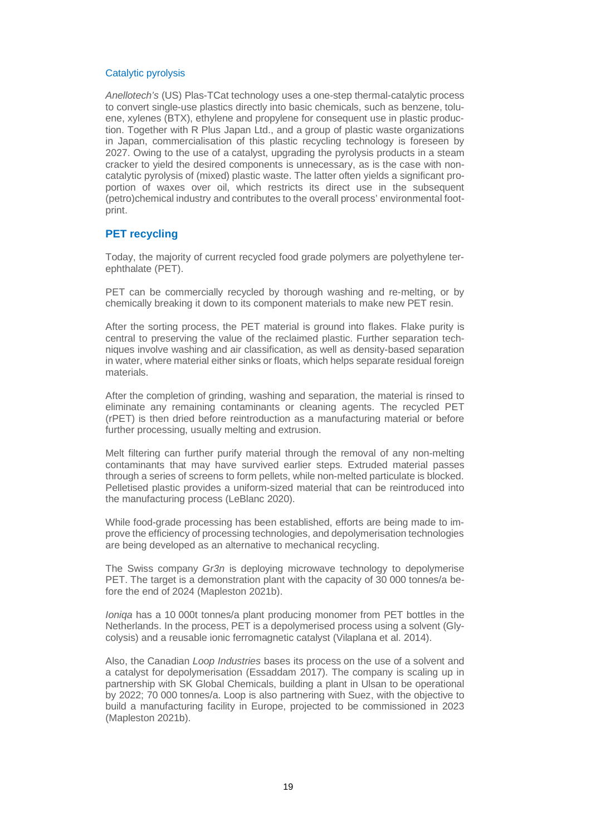#### Catalytic pyrolysis

*Anellotech's* (US) Plas-TCat technology uses a one-step thermal-catalytic process to convert single-use plastics directly into basic chemicals, such as benzene, toluene, xylenes (BTX), ethylene and propylene for consequent use in plastic production. Together with R Plus Japan Ltd., and a group of plastic waste organizations in Japan, commercialisation of this plastic recycling technology is foreseen by 2027. Owing to the use of a catalyst, upgrading the pyrolysis products in a steam cracker to yield the desired components is unnecessary, as is the case with noncatalytic pyrolysis of (mixed) plastic waste. The latter often yields a significant proportion of waxes over oil, which restricts its direct use in the subsequent (petro)chemical industry and contributes to the overall process' environmental footprint.

#### **PET recycling**

Today, the majority of current recycled food grade polymers are polyethylene terephthalate (PET).

PET can be commercially recycled by thorough washing and re-melting, or by chemically breaking it down to its component materials to make new PET resin.

After the sorting process, the PET material is ground into flakes. Flake purity is central to preserving the value of the reclaimed plastic. Further separation techniques involve washing and air classification, as well as density-based separation in water, where material either sinks or floats, which helps separate residual foreign materials.

After the completion of grinding, washing and separation, the material is rinsed to eliminate any remaining contaminants or cleaning agents. The recycled PET (rPET) is then dried before reintroduction as a manufacturing material or before further processing, usually melting and extrusion.

Melt filtering can further purify material through the removal of any non-melting contaminants that may have survived earlier steps. Extruded material passes through a series of screens to form pellets, while non-melted particulate is blocked. Pelletised plastic provides a uniform-sized material that can be reintroduced into the manufacturing process (LeBlanc 2020).

While food-grade processing has been established, efforts are being made to improve the efficiency of processing technologies, and depolymerisation technologies are being developed as an alternative to mechanical recycling.

The Swiss company *Gr3n* is deploying microwave technology to depolymerise PET. The target is a demonstration plant with the capacity of 30 000 tonnes/a before the end of 2024 (Mapleston 2021b).

*Ioniqa* has a 10 000t tonnes/a plant producing monomer from PET bottles in the Netherlands. In the process, PET is a depolymerised process using a solvent (Glycolysis) and a reusable ionic ferromagnetic catalyst (Vilaplana et al. 2014).

Also, the Canadian *Loop Industries* bases its process on the use of a solvent and a catalyst for depolymerisation (Essaddam 2017). The company is scaling up in partnership with SK Global Chemicals, building a plant in Ulsan to be operational by 2022; 70 000 tonnes/a. Loop is also partnering with Suez, with the objective to build a manufacturing facility in Europe, projected to be commissioned in 2023 (Mapleston 2021b).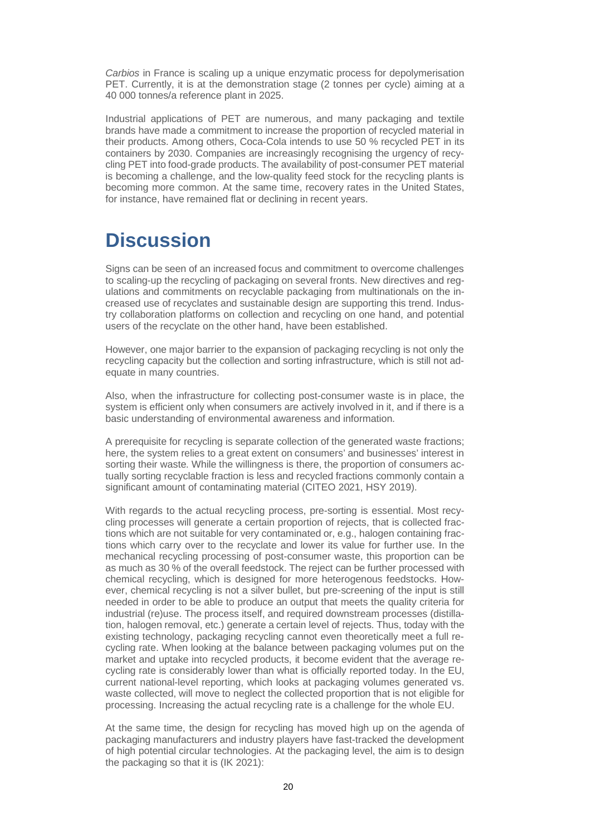*Carbios* in France is scaling up a unique enzymatic process for depolymerisation PET. Currently, it is at the demonstration stage (2 tonnes per cycle) aiming at a 40 000 tonnes/a reference plant in 2025.

Industrial applications of PET are numerous, and many packaging and textile brands have made a commitment to increase the proportion of recycled material in their products. Among others, Coca-Cola intends to use 50 % recycled PET in its containers by 2030. Companies are increasingly recognising the urgency of recycling PET into food-grade products. The availability of post-consumer PET material is becoming a challenge, and the low-quality feed stock for the recycling plants is becoming more common. At the same time, recovery rates in the United States, for instance, have remained flat or declining in recent years.

# **Discussion**

Signs can be seen of an increased focus and commitment to overcome challenges to scaling-up the recycling of packaging on several fronts. New directives and regulations and commitments on recyclable packaging from multinationals on the increased use of recyclates and sustainable design are supporting this trend. Industry collaboration platforms on collection and recycling on one hand, and potential users of the recyclate on the other hand, have been established.

However, one major barrier to the expansion of packaging recycling is not only the recycling capacity but the collection and sorting infrastructure, which is still not adequate in many countries.

Also, when the infrastructure for collecting post-consumer waste is in place, the system is efficient only when consumers are actively involved in it, and if there is a basic understanding of environmental awareness and information.

A prerequisite for recycling is separate collection of the generated waste fractions; here, the system relies to a great extent on consumers' and businesses' interest in sorting their waste. While the willingness is there, the proportion of consumers actually sorting recyclable fraction is less and recycled fractions commonly contain a significant amount of contaminating material (CITEO 2021, HSY 2019).

With regards to the actual recycling process, pre-sorting is essential. Most recycling processes will generate a certain proportion of rejects, that is collected fractions which are not suitable for very contaminated or, e.g., halogen containing fractions which carry over to the recyclate and lower its value for further use. In the mechanical recycling processing of post-consumer waste, this proportion can be as much as 30 % of the overall feedstock. The reject can be further processed with chemical recycling, which is designed for more heterogenous feedstocks. However, chemical recycling is not a silver bullet, but pre-screening of the input is still needed in order to be able to produce an output that meets the quality criteria for industrial (re)use. The process itself, and required downstream processes (distillation, halogen removal, etc.) generate a certain level of rejects. Thus, today with the existing technology, packaging recycling cannot even theoretically meet a full recycling rate. When looking at the balance between packaging volumes put on the market and uptake into recycled products, it become evident that the average recycling rate is considerably lower than what is officially reported today. In the EU, current national-level reporting, which looks at packaging volumes generated vs. waste collected, will move to neglect the collected proportion that is not eligible for processing. Increasing the actual recycling rate is a challenge for the whole EU.

At the same time, the design for recycling has moved high up on the agenda of packaging manufacturers and industry players have fast-tracked the development of high potential circular technologies. At the packaging level, the aim is to design the packaging so that it is (IK 2021):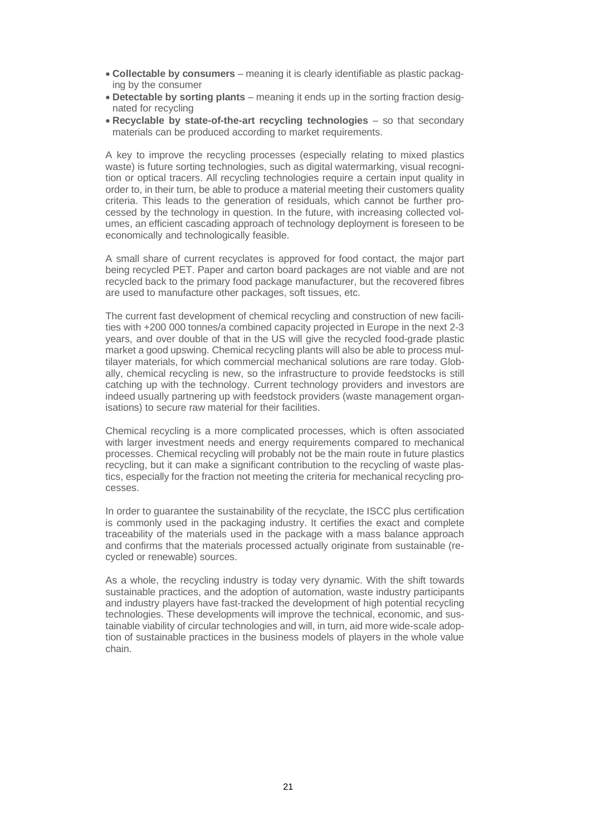- **Collectable by consumers** meaning it is clearly identifiable as plastic packaging by the consumer
- **Detectable by sorting plants** meaning it ends up in the sorting fraction designated for recycling
- **Recyclable by state-of-the-art recycling technologies** so that secondary materials can be produced according to market requirements.

A key to improve the recycling processes (especially relating to mixed plastics waste) is future sorting technologies, such as digital watermarking, visual recognition or optical tracers. All recycling technologies require a certain input quality in order to, in their turn, be able to produce a material meeting their customers quality criteria. This leads to the generation of residuals, which cannot be further processed by the technology in question. In the future, with increasing collected volumes, an efficient cascading approach of technology deployment is foreseen to be economically and technologically feasible.

A small share of current recyclates is approved for food contact, the major part being recycled PET. Paper and carton board packages are not viable and are not recycled back to the primary food package manufacturer, but the recovered fibres are used to manufacture other packages, soft tissues, etc.

The current fast development of chemical recycling and construction of new facilities with +200 000 tonnes/a combined capacity projected in Europe in the next 2-3 years, and over double of that in the US will give the recycled food-grade plastic market a good upswing. Chemical recycling plants will also be able to process multilayer materials, for which commercial mechanical solutions are rare today. Globally, chemical recycling is new, so the infrastructure to provide feedstocks is still catching up with the technology. Current technology providers and investors are indeed usually partnering up with feedstock providers (waste management organisations) to secure raw material for their facilities.

Chemical recycling is a more complicated processes, which is often associated with larger investment needs and energy requirements compared to mechanical processes. Chemical recycling will probably not be the main route in future plastics recycling, but it can make a significant contribution to the recycling of waste plastics, especially for the fraction not meeting the criteria for mechanical recycling processes.

In order to guarantee the sustainability of the recyclate, the ISCC plus certification is commonly used in the packaging industry. It certifies the exact and complete traceability of the materials used in the package with a mass balance approach and confirms that the materials processed actually originate from sustainable (recycled or renewable) sources.

As a whole, the recycling industry is today very dynamic. With the shift towards sustainable practices, and the adoption of automation, waste industry participants and industry players have fast-tracked the development of high potential recycling technologies. These developments will improve the technical, economic, and sustainable viability of circular technologies and will, in turn, aid more wide-scale adoption of sustainable practices in the business models of players in the whole value chain.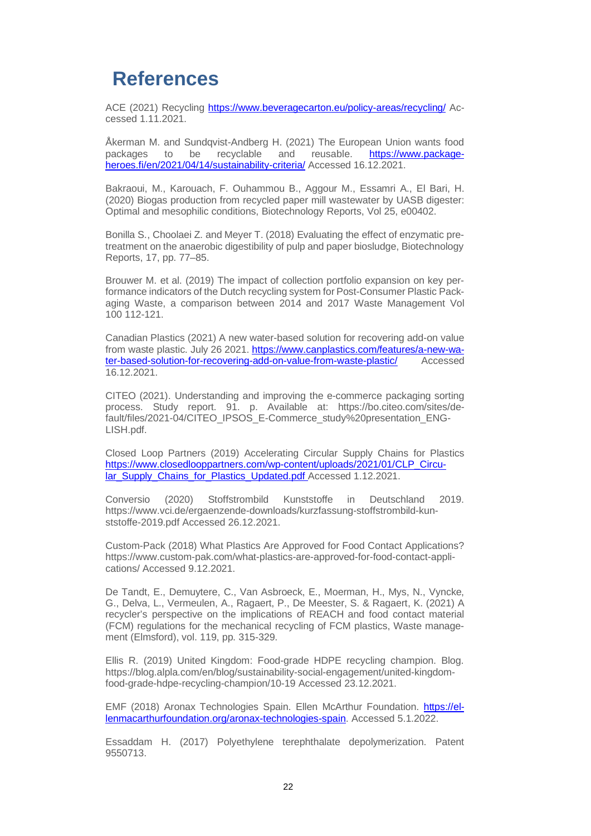### **References**

ACE (2021) Recycling https://www.beveragecarton.eu/policy-areas/recycling/ Accessed 1.11.2021.

Åkerman M. and Sundqvist-Andberg H. (2021) The European Union wants food packages to be recyclable and reusable. https://www.packageheroes.fi/en/2021/04/14/sustainability-criteria/ Accessed 16.12.2021.

Bakraoui, M., Karouach, F. Ouhammou B., Aggour M., Essamri A., El Bari, H. (2020) Biogas production from recycled paper mill wastewater by UASB digester: Optimal and mesophilic conditions, Biotechnology Reports, Vol 25, e00402.

Bonilla S., Choolaei Z. and Meyer T. (2018) Evaluating the effect of enzymatic pretreatment on the anaerobic digestibility of pulp and paper biosludge, Biotechnology Reports, 17, pp. 77–85.

Brouwer M. et al. (2019) The impact of collection portfolio expansion on key performance indicators of the Dutch recycling system for Post-Consumer Plastic Packaging Waste, a comparison between 2014 and 2017 Waste Management Vol 100 112-121.

Canadian Plastics (2021) A new water-based solution for recovering add-on value from waste plastic. July 26 2021. https://www.canplastics.com/features/a-new-water-based-solution-for-recovering-add-on-value-from-waste-plastic/ Accessed 16.12.2021.

CITEO (2021). Understanding and improving the e-commerce packaging sorting process. Study report. 91. p. Available at: https://bo.citeo.com/sites/default/files/2021-04/CITEO\_IPSOS\_E-Commerce\_study%20presentation\_ENG-LISH.pdf.

Closed Loop Partners (2019) Accelerating Circular Supply Chains for Plastics https://www.closedlooppartners.com/wp-content/uploads/2021/01/CLP\_Circular\_Supply\_Chains\_for\_Plastics\_Updated.pdf Accessed 1.12.2021.

Conversio (2020) Stoffstrombild Kunststoffe in Deutschland 2019. https://www.vci.de/ergaenzende-downloads/kurzfassung-stoffstrombild-kunststoffe-2019.pdf Accessed 26.12.2021.

Custom-Pack (2018) What Plastics Are Approved for Food Contact Applications? https://www.custom-pak.com/what-plastics-are-approved-for-food-contact-applications/ Accessed 9.12.2021.

De Tandt, E., Demuytere, C., Van Asbroeck, E., Moerman, H., Mys, N., Vyncke, G., Delva, L., Vermeulen, A., Ragaert, P., De Meester, S. & Ragaert, K. (2021) A recycler's perspective on the implications of REACH and food contact material (FCM) regulations for the mechanical recycling of FCM plastics, Waste management (Elmsford), vol. 119, pp. 315-329.

Ellis R. (2019) United Kingdom: Food-grade HDPE recycling champion. Blog. https://blog.alpla.com/en/blog/sustainability-social-engagement/united-kingdomfood-grade-hdpe-recycling-champion/10-19 Accessed 23.12.2021.

EMF (2018) Aronax Technologies Spain. Ellen McArthur Foundation. https://ellenmacarthurfoundation.org/aronax-technologies-spain. Accessed 5.1.2022.

Essaddam H. (2017) Polyethylene terephthalate depolymerization. Patent 9550713.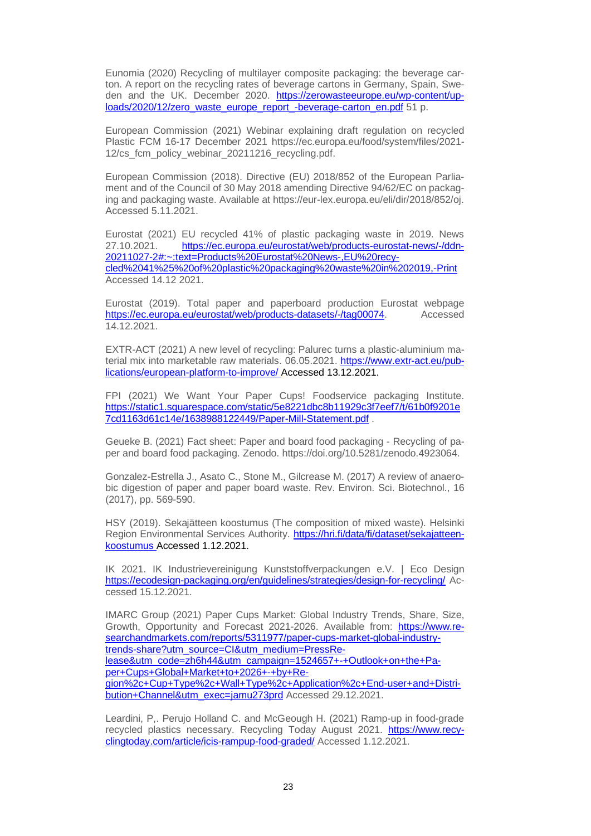Eunomia (2020) Recycling of multilayer composite packaging: the beverage carton. A report on the recycling rates of beverage cartons in Germany, Spain, Sweden and the UK. December 2020. https://zerowasteeurope.eu/wp-content/uploads/2020/12/zero\_waste\_europe\_report\_-beverage-carton\_en.pdf 51 p.

European Commission (2021) Webinar explaining draft regulation on recycled Plastic FCM 16-17 December 2021 https://ec.europa.eu/food/system/files/2021- 12/cs fcm\_policy\_webinar\_20211216\_recycling.pdf.

European Commission (2018). Directive (EU) 2018/852 of the European Parliament and of the Council of 30 May 2018 amending Directive 94/62/EC on packaging and packaging waste. Available at https://eur-lex.europa.eu/eli/dir/2018/852/oj. Accessed 5.11.2021.

Eurostat (2021) EU recycled 41% of plastic packaging waste in 2019. News 27.10.2021. https://ec.europa.eu/eurostat/web/products-eurostat-news/-/ddn-<br>20211027-2#:~:text=Products%20Eurostat%20News-.EU%20recy-2020recy-20220Eurostat%20News-,EU%20recycled%2041%25%20of%20plastic%20packaging%20waste%20in%202019,-Print Accessed 14.12 2021.

Eurostat (2019). Total paper and paperboard production Eurostat webpage https://ec.europa.eu/eurostat/web/products-datasets/-/tag00074. Accessed 14.12.2021.

EXTR-ACT (2021) A new level of recycling: Palurec turns a plastic-aluminium material mix into marketable raw materials. 06.05.2021. https://www.extr-act.eu/publications/european-platform-to-improve/ Accessed 13.12.2021.

FPI (2021) We Want Your Paper Cups! Foodservice packaging Institute. https://static1.squarespace.com/static/5e8221dbc8b11929c3f7eef7/t/61b0f9201e 7cd1163d61c14e/1638988122449/Paper-Mill-Statement.pdf .

Geueke B. (2021) Fact sheet: Paper and board food packaging - Recycling of paper and board food packaging. Zenodo. https://doi.org/10.5281/zenodo.4923064.

Gonzalez-Estrella J., Asato C., Stone M., Gilcrease M. (2017) A review of anaerobic digestion of paper and paper board waste. Rev. Environ. Sci. Biotechnol., 16 (2017), pp. 569-590.

HSY (2019). Sekajätteen koostumus (The composition of mixed waste). Helsinki Region Environmental Services Authority. https://hri.fi/data/fi/dataset/sekajatteenkoostumus Accessed 1.12.2021.

IK 2021. IK Industrievereinigung Kunststoffverpackungen e.V. | Eco Design https://ecodesign-packaging.org/en/guidelines/strategies/design-for-recycling/ Accessed 15.12.2021.

IMARC Group (2021) Paper Cups Market: Global Industry Trends, Share, Size, Growth, Opportunity and Forecast 2021-2026. Available from: https://www.researchandmarkets.com/reports/5311977/paper-cups-market-global-industrytrends-share?utm\_source=CI&utm\_medium=PressRelease&utm\_code=zh6h44&utm\_campaign=1524657+-+Outlook+on+the+Paper+Cups+Global+Market+to+2026+-+by+Region%2c+Cup+Type%2c+Wall+Type%2c+Application%2c+End-user+and+Distribution+Channel&utm\_exec=jamu273prd Accessed 29.12.2021.

Leardini, P,. Perujo Holland C. and McGeough H. (2021) Ramp-up in food-grade recycled plastics necessary. Recycling Today August 2021. https://www.recyclingtoday.com/article/icis-rampup-food-graded/ Accessed 1.12.2021.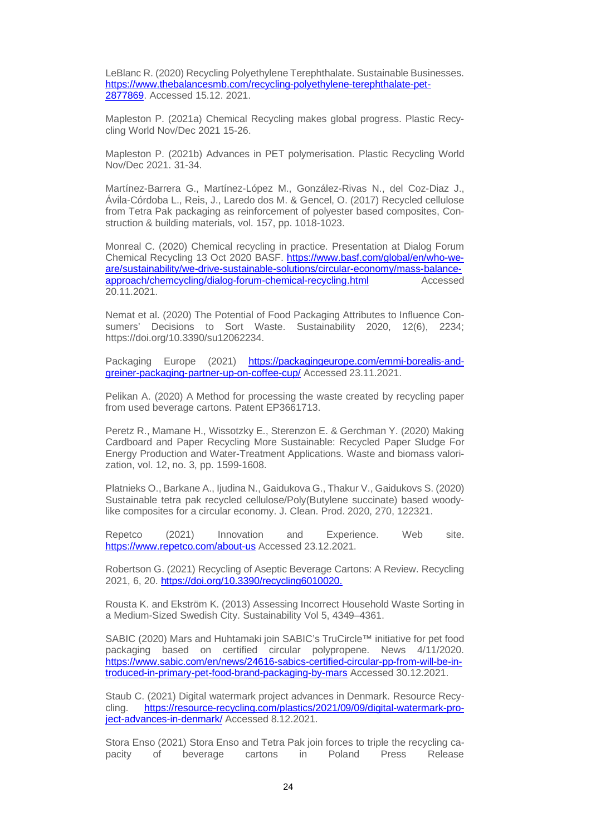LeBlanc R. (2020) Recycling Polyethylene Terephthalate. Sustainable Businesses. https://www.thebalancesmb.com/recycling-polyethylene-terephthalate-pet-2877869. Accessed 15.12. 2021.

Mapleston P. (2021a) Chemical Recycling makes global progress. Plastic Recycling World Nov/Dec 2021 15-26.

Mapleston P. (2021b) Advances in PET polymerisation. Plastic Recycling World Nov/Dec 2021. 31-34.

Martínez-Barrera G., Martínez-López M., González-Rivas N., del Coz-Diaz J., Ávila-Córdoba L., Reis, J., Laredo dos M. & Gencel, O. (2017) Recycled cellulose from Tetra Pak packaging as reinforcement of polyester based composites, Construction & building materials, vol. 157, pp. 1018-1023.

Monreal C. (2020) Chemical recycling in practice. Presentation at Dialog Forum Chemical Recycling 13 Oct 2020 BASF. https://www.basf.com/global/en/who-weare/sustainability/we-drive-sustainable-solutions/circular-economy/mass-balanceapproach/chemcycling/dialog-forum-chemical-recycling.html Accessed 20.11.2021.

Nemat et al. (2020) The Potential of Food Packaging Attributes to Influence Consumers' Decisions to Sort Waste. Sustainability 2020, 12(6), 2234; https://doi.org/10.3390/su12062234.

Packaging Europe (2021) https://packagingeurope.com/emmi-borealis-andgreiner-packaging-partner-up-on-coffee-cup/ Accessed 23.11.2021.

Pelikan A. (2020) A Method for processing the waste created by recycling paper from used beverage cartons. Patent EP3661713.

Peretz R., Mamane H., Wissotzky E., Sterenzon E. & Gerchman Y. (2020) Making Cardboard and Paper Recycling More Sustainable: Recycled Paper Sludge For Energy Production and Water-Treatment Applications. Waste and biomass valorization, vol. 12, no. 3, pp. 1599-1608.

Platnieks O., Barkane A., Ijudina N., Gaidukova G., Thakur V., Gaidukovs S. (2020) Sustainable tetra pak recycled cellulose/Poly(Butylene succinate) based woodylike composites for a circular economy. J. Clean. Prod. 2020, 270, 122321.

Repetco (2021) Innovation and Experience. Web site. https://www.repetco.com/about-us Accessed 23.12.2021.

Robertson G. (2021) Recycling of Aseptic Beverage Cartons: A Review. Recycling 2021, 6, 20. https://doi.org/10.3390/recycling6010020.

Rousta K. and Ekström K. (2013) Assessing Incorrect Household Waste Sorting in a Medium-Sized Swedish City. Sustainability Vol 5, 4349–4361.

SABIC (2020) Mars and Huhtamaki join SABIC's TruCircle™ initiative for pet food packaging based on certified circular polypropene. News 4/11/2020. https://www.sabic.com/en/news/24616-sabics-certified-circular-pp-from-will-be-introduced-in-primary-pet-food-brand-packaging-by-mars Accessed 30.12.2021.

Staub C. (2021) Digital watermark project advances in Denmark. Resource Recycling. https://resource-recycling.com/plastics/2021/09/09/digital-watermark-project-advances-in-denmark/ Accessed 8.12.2021.

Stora Enso (2021) Stora Enso and Tetra Pak join forces to triple the recycling capacity of beverage cartons in Poland Press Release